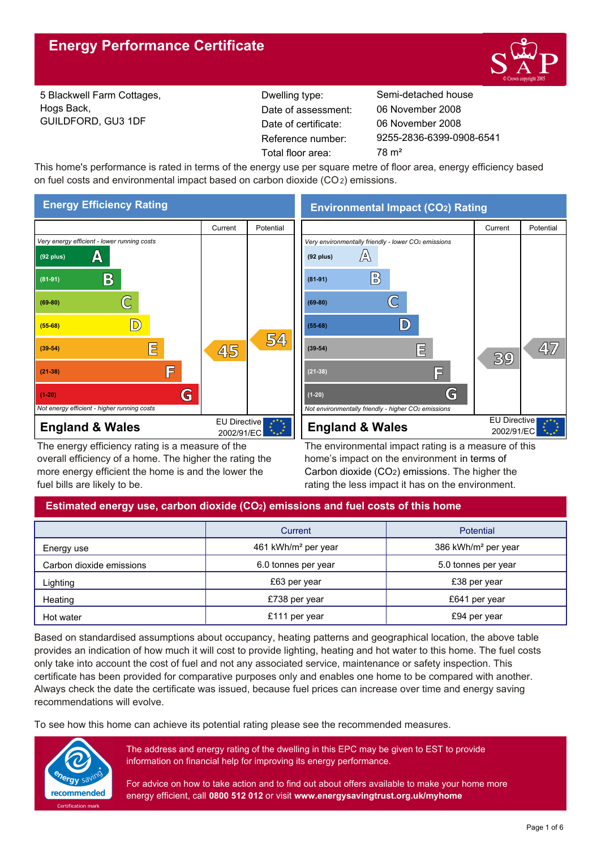

5 Blackwell Farm Cottages, Hogs Back, GUILDFORD, GU3 1DF

Reference number: Date of certificate: Total floor area: 78 m<sup>2</sup> Date of assessment:

Dwelling type: Semi-detached house 9255-2836-6399-0908-6541 06 November 2008 06 November 2008

This home's performance is rated in terms of the energy use per square metre of floor area, energy efficiency based on fuel costs and environmental impact based on carbon dioxide (CO2) emissions.



The energy efficiency rating is a measure of the overall efficiency of a home. The higher the rating the more energy efficient the home is and the lower the fuel bills are likely to be.

**Environmental Impact (CO2) Rating**



The environmental impact rating is a measure of this home's impact on the environment in terms of Carbon dioxide (CO2) emissions. The higher the rating the less impact it has on the environment.

# **Estimated energy use, carbon dioxide (CO2) emissions and fuel costs of this home**

|                          | Current                         | Potential                       |
|--------------------------|---------------------------------|---------------------------------|
| Energy use               | 461 kWh/m <sup>2</sup> per year | 386 kWh/m <sup>2</sup> per year |
| Carbon dioxide emissions | 6.0 tonnes per year             | 5.0 tonnes per year             |
| Lighting                 | £63 per year                    | £38 per year                    |
| Heating                  | £738 per year                   | £641 per year                   |
| Hot water                | £111 per year                   | £94 per year                    |

Based on standardised assumptions about occupancy, heating patterns and geographical location, the above table provides an indication of how much it will cost to provide lighting, heating and hot water to this home. The fuel costs only take into account the cost of fuel and not any associated service, maintenance or safety inspection. This certificate has been provided for comparative purposes only and enables one home to be compared with another. Always check the date the certificate was issued, because fuel prices can increase over time and energy saving recommendations will evolve.

To see how this home can achieve its potential rating please see the recommended measures.



The address and energy rating of the dwelling in this EPC may be given to EST to provide information on financial help for improving its energy performance.

For advice on how to take action and to find out about offers available to make your home more energy efficient, call **0800 512 012** or visit **www.energysavingtrust.org.uk/myhome**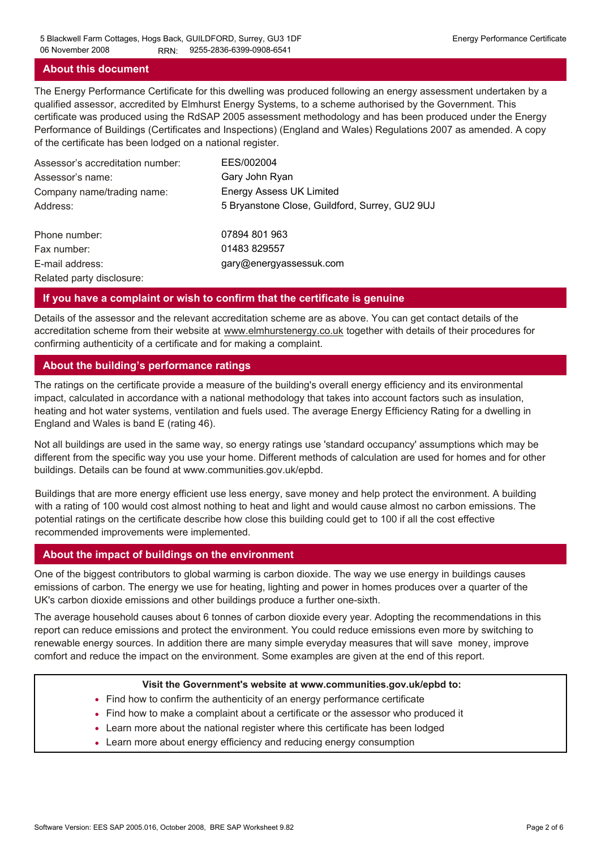## **About this document**

The Energy Performance Certificate for this dwelling was produced following an energy assessment undertaken by a qualified assessor, accredited by Elmhurst Energy Systems, to a scheme authorised by the Government. This certificate was produced using the RdSAP 2005 assessment methodology and has been produced under the Energy Performance of Buildings (Certificates and Inspections) (England and Wales) Regulations 2007 as amended. A copy of the certificate has been lodged on a national register.

| Assessor's accreditation number: | EES/002004                                     |
|----------------------------------|------------------------------------------------|
| Assessor's name:                 | Gary John Ryan                                 |
| Company name/trading name:       | <b>Energy Assess UK Limited</b>                |
| Address:                         | 5 Bryanstone Close, Guildford, Surrey, GU2 9UJ |
| Phone number:                    | 07894 801 963                                  |
| Fax number:                      | 01483 829557                                   |
| E-mail address:                  | gary@energyassessuk.com                        |
| Related party disclosure:        |                                                |

## **If you have a complaint or wish to confirm that the certificate is genuine**

Details of the assessor and the relevant accreditation scheme are as above. You can get contact details of the accreditation scheme from their website at www.elmhurstenergy.co.uk together with details of their procedures for confirming authenticity of a certificate and for making a complaint.

## **About the building's performance ratings**

The ratings on the certificate provide a measure of the building's overall energy efficiency and its environmental impact, calculated in accordance with a national methodology that takes into account factors such as insulation, heating and hot water systems, ventilation and fuels used. The average Energy Efficiency Rating for a dwelling in England and Wales is band E (rating 46).

Not all buildings are used in the same way, so energy ratings use 'standard occupancy' assumptions which may be different from the specific way you use your home. Different methods of calculation are used for homes and for other buildings. Details can be found at www.communities.gov.uk/epbd.

Buildings that are more energy efficient use less energy, save money and help protect the environment. A building with a rating of 100 would cost almost nothing to heat and light and would cause almost no carbon emissions. The potential ratings on the certificate describe how close this building could get to 100 if all the cost effective recommended improvements were implemented.

### **About the impact of buildings on the environment**

One of the biggest contributors to global warming is carbon dioxide. The way we use energy in buildings causes emissions of carbon. The energy we use for heating, lighting and power in homes produces over a quarter of the UK's carbon dioxide emissions and other buildings produce a further one-sixth.

The average household causes about 6 tonnes of carbon dioxide every year. Adopting the recommendations in this report can reduce emissions and protect the environment. You could reduce emissions even more by switching to renewable energy sources. In addition there are many simple everyday measures that will save money, improve comfort and reduce the impact on the environment. Some examples are given at the end of this report.

### **Visit the Government's website at www.communities.gov.uk/epbd to:**

- Find how to confirm the authenticity of an energy performance certificate
- Find how to make a complaint about a certificate or the assessor who produced it •
- Learn more about the national register where this certificate has been lodged •
- Learn more about energy efficiency and reducing energy consumption •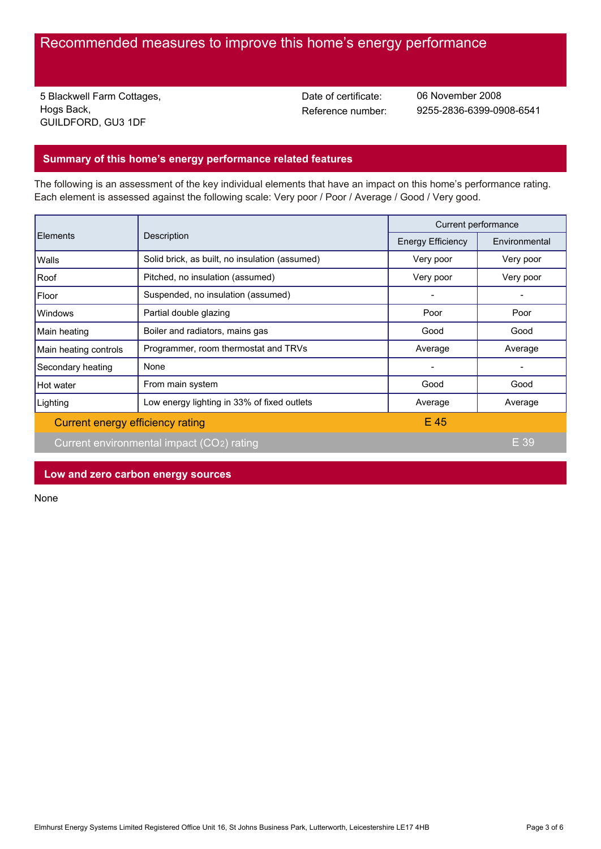# Recommended measures to improve this home's energy performance

5 Blackwell Farm Cottages, Hogs Back, GUILDFORD, GU3 1DF

Date of certificate:

Reference number: 9255-2836-6399-0908-6541 06 November 2008

# **Summary of this home's energy performance related features**

The following is an assessment of the key individual elements that have an impact on this home's performance rating. Each element is assessed against the following scale: Very poor / Poor / Average / Good / Very good.

| Elements                         | Description                                    | Current performance      |               |
|----------------------------------|------------------------------------------------|--------------------------|---------------|
|                                  |                                                | <b>Energy Efficiency</b> | Environmental |
| Walls                            | Solid brick, as built, no insulation (assumed) | Very poor                | Very poor     |
| Roof                             | Pitched, no insulation (assumed)               | Very poor                | Very poor     |
| Floor                            | Suspended, no insulation (assumed)             |                          |               |
| Windows                          | Partial double glazing                         | Poor                     | Poor          |
| Main heating                     | Boiler and radiators, mains gas                | Good                     | Good          |
| Main heating controls            | Programmer, room thermostat and TRVs           | Average                  | Average       |
| Secondary heating                | None                                           |                          |               |
| Hot water                        | From main system                               | Good                     | Good          |
| Lighting                         | Low energy lighting in 33% of fixed outlets    | Average                  | Average       |
| Current energy efficiency rating |                                                | E 45                     |               |
|                                  | Current environmental impact (CO2) rating      |                          | E 39          |

**Low and zero carbon energy sources**

None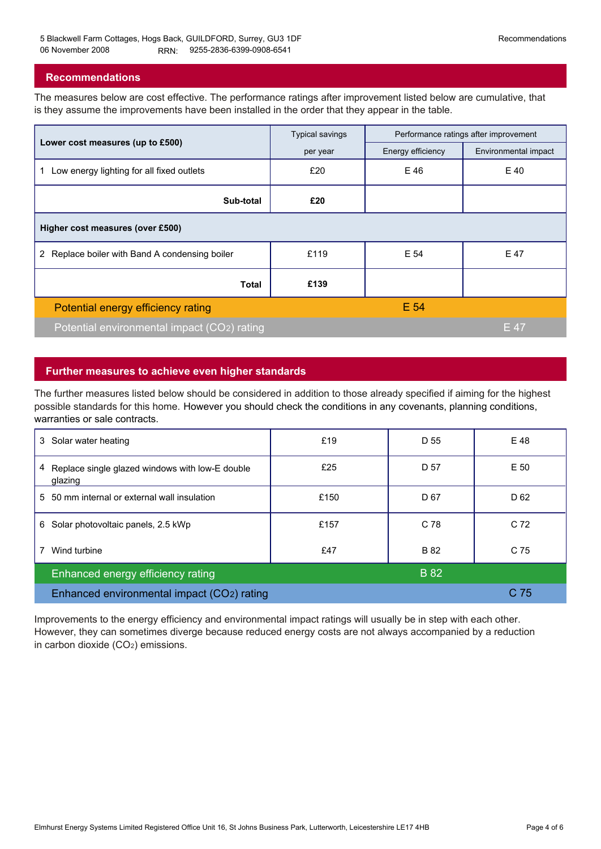## **Recommendations**

The measures below are cost effective. The performance ratings after improvement listed below are cumulative, that is they assume the improvements have been installed in the order that they appear in the table.

|                                                 | <b>Typical savings</b> | Performance ratings after improvement |                      |  |  |  |
|-------------------------------------------------|------------------------|---------------------------------------|----------------------|--|--|--|
| Lower cost measures (up to £500)                | per year               | Energy efficiency                     | Environmental impact |  |  |  |
| Low energy lighting for all fixed outlets<br>1. | £20                    | E 46                                  | E 40                 |  |  |  |
| Sub-total                                       | £20                    |                                       |                      |  |  |  |
| Higher cost measures (over £500)                |                        |                                       |                      |  |  |  |
| 2 Replace boiler with Band A condensing boiler  | £119                   | E 54                                  | E 47                 |  |  |  |
| <b>Total</b>                                    | £139                   |                                       |                      |  |  |  |
| Potential energy efficiency rating              |                        | E 54                                  |                      |  |  |  |
| Potential environmental impact (CO2) rating     |                        |                                       | E 47                 |  |  |  |

# **Further measures to achieve even higher standards**

The further measures listed below should be considered in addition to those already specified if aiming for the highest possible standards for this home. However you should check the conditions in any covenants, planning conditions, warranties or sale contracts.

| 3 Solar water heating                                           | £19  | D 55        | E 48            |
|-----------------------------------------------------------------|------|-------------|-----------------|
| Replace single glazed windows with low-E double<br>4<br>glazing | £25  | D 57        | E 50            |
| 5 50 mm internal or external wall insulation                    | £150 | D 67        | D <sub>62</sub> |
| Solar photovoltaic panels, 2.5 kWp<br>6                         | £157 | C 78        | C <sub>72</sub> |
| Wind turbine<br>7                                               | £47  | B 82        | C 75            |
| Enhanced energy efficiency rating                               |      | <b>B</b> 82 |                 |
| Enhanced environmental impact (CO2) rating                      |      |             | C 75            |

Improvements to the energy efficiency and environmental impact ratings will usually be in step with each other. However, they can sometimes diverge because reduced energy costs are not always accompanied by a reduction in carbon dioxide (CO2) emissions.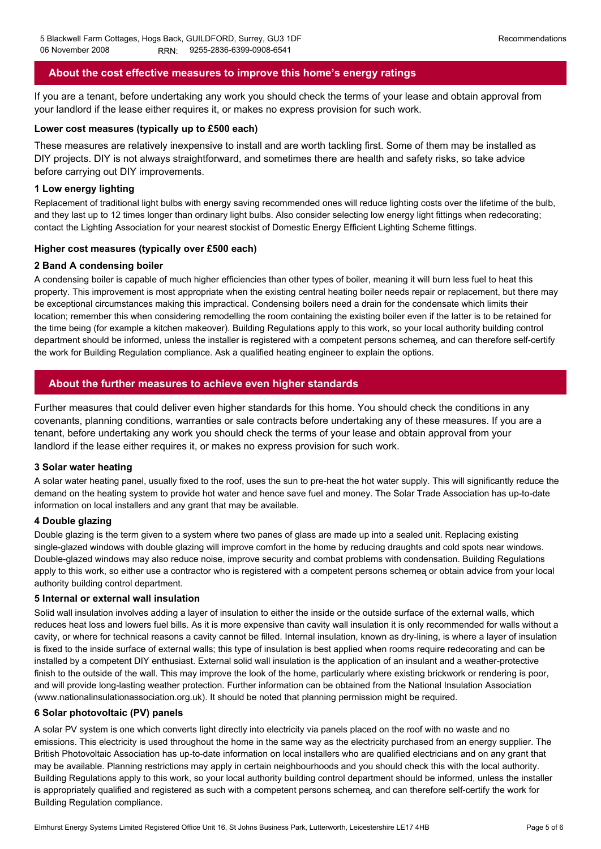# **About the cost effective measures to improve this home's energy ratings**

If you are a tenant, before undertaking any work you should check the terms of your lease and obtain approval from your landlord if the lease either requires it, or makes no express provision for such work.

#### **Lower cost measures (typically up to £500 each)**

These measures are relatively inexpensive to install and are worth tackling first. Some of them may be installed as DIY projects. DIY is not always straightforward, and sometimes there are health and safety risks, so take advice before carrying out DIY improvements.

#### **1 Low energy lighting**

Replacement of traditional light bulbs with energy saving recommended ones will reduce lighting costs over the lifetime of the bulb, and they last up to 12 times longer than ordinary light bulbs. Also consider selecting low energy light fittings when redecorating; contact the Lighting Association for your nearest stockist of Domestic Energy Efficient Lighting Scheme fittings.

#### **Higher cost measures (typically over £500 each)**

#### **2 Band A condensing boiler**

A condensing boiler is capable of much higher efficiencies than other types of boiler, meaning it will burn less fuel to heat this property. This improvement is most appropriate when the existing central heating boiler needs repair or replacement, but there may be exceptional circumstances making this impractical. Condensing boilers need a drain for the condensate which limits their location; remember this when considering remodelling the room containing the existing boiler even if the latter is to be retained for the time being (for example a kitchen makeover). Building Regulations apply to this work, so your local authority building control department should be informed, unless the installer is registered with a competent persons schemeą, and can therefore self-certify the work for Building Regulation compliance. Ask a qualified heating engineer to explain the options.

# **About the further measures to achieve even higher standards**

Further measures that could deliver even higher standards for this home. You should check the conditions in any covenants, planning conditions, warranties or sale contracts before undertaking any of these measures. If you are a tenant, before undertaking any work you should check the terms of your lease and obtain approval from your landlord if the lease either requires it, or makes no express provision for such work.

#### **3 Solar water heating**

A solar water heating panel, usually fixed to the roof, uses the sun to pre-heat the hot water supply. This will significantly reduce the demand on the heating system to provide hot water and hence save fuel and money. The Solar Trade Association has up-to-date information on local installers and any grant that may be available.

### **4 Double glazing**

Double glazing is the term given to a system where two panes of glass are made up into a sealed unit. Replacing existing single-glazed windows with double glazing will improve comfort in the home by reducing draughts and cold spots near windows. Double-glazed windows may also reduce noise, improve security and combat problems with condensation. Building Regulations apply to this work, so either use a contractor who is registered with a competent persons schemeą or obtain advice from your local authority building control department.

#### **5 Internal or external wall insulation**

Solid wall insulation involves adding a layer of insulation to either the inside or the outside surface of the external walls, which reduces heat loss and lowers fuel bills. As it is more expensive than cavity wall insulation it is only recommended for walls without a cavity, or where for technical reasons a cavity cannot be filled. Internal insulation, known as dry-lining, is where a layer of insulation is fixed to the inside surface of external walls; this type of insulation is best applied when rooms require redecorating and can be installed by a competent DIY enthusiast. External solid wall insulation is the application of an insulant and a weather-protective finish to the outside of the wall. This may improve the look of the home, particularly where existing brickwork or rendering is poor, and will provide long-lasting weather protection. Further information can be obtained from the National Insulation Association (www.nationalinsulationassociation.org.uk). It should be noted that planning permission might be required.

#### **6 Solar photovoltaic (PV) panels**

A solar PV system is one which converts light directly into electricity via panels placed on the roof with no waste and no emissions. This electricity is used throughout the home in the same way as the electricity purchased from an energy supplier. The British Photovoltaic Association has up-to-date information on local installers who are qualified electricians and on any grant that may be available. Planning restrictions may apply in certain neighbourhoods and you should check this with the local authority. Building Regulations apply to this work, so your local authority building control department should be informed, unless the installer is appropriately qualified and registered as such with a competent persons schemeą, and can therefore self-certify the work for Building Regulation compliance.